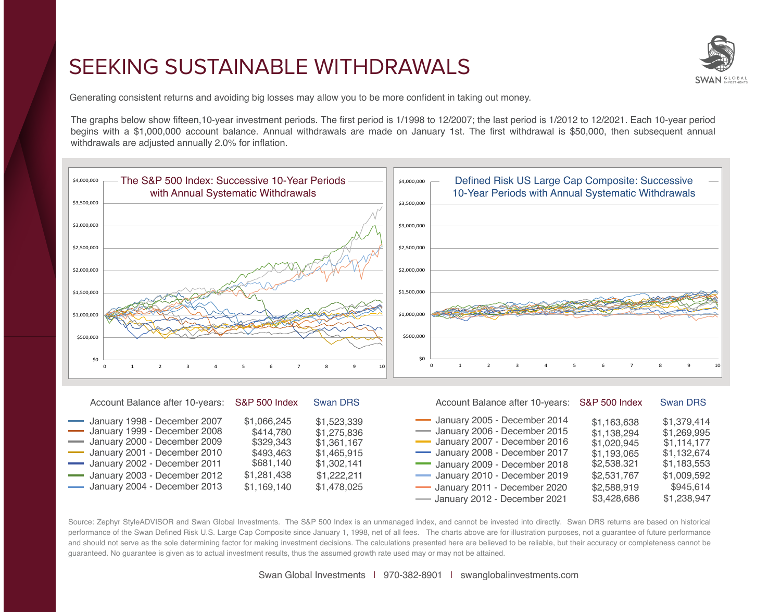## SEEKING SUSTAINABLE WITHDRAWALS



Generating consistent returns and avoiding big losses may allow you to be more confident in taking out money.

The graphs below show fifteen,10-year investment periods. The first period is 1/1998 to 12/2007; the last period is 1/2012 to 12/2021. Each 10-year period begins with a \$1,000,000 account balance. Annual withdrawals are made on January 1st. The first withdrawal is \$50,000, then subsequent annual withdrawals are adjusted annually 2.0% for inflation.



| Account Balance after 10-years: S&P 500 Index                                                                                                                                                                                    |                                                                                               | <b>Swan DRS</b>                                                                                       | Account Balance after 10-years: S&P 500 Index                                                                                                                                                                                                                    |                                                                                                                      | <b>Swan DRS</b>                                                                                                    |
|----------------------------------------------------------------------------------------------------------------------------------------------------------------------------------------------------------------------------------|-----------------------------------------------------------------------------------------------|-------------------------------------------------------------------------------------------------------|------------------------------------------------------------------------------------------------------------------------------------------------------------------------------------------------------------------------------------------------------------------|----------------------------------------------------------------------------------------------------------------------|--------------------------------------------------------------------------------------------------------------------|
| January 1998 - December 2007<br>January 1999 - December 2008<br>- January 2000 - December 2009<br>January 2001 - December 2010<br>January 2002 - December 2011<br>January 2003 - December 2012<br>- January 2004 - December 2013 | \$1,066,245<br>\$414,780<br>\$329,343<br>\$493,463<br>\$681,140<br>\$1,281,438<br>\$1,169,140 | \$1,523,339<br>\$1,275,836<br>\$1,361,167<br>\$1,465,915<br>\$1,302,141<br>\$1,222,211<br>\$1,478,025 | January 2005 - December 2014<br>- January 2006 - December 2015<br>January 2007 - December 2016<br>January 2008 - December 2017<br>January 2009 - December 2018<br>January 2010 - December 2019<br>January 2011 - December 2020<br>- January 2012 - December 2021 | \$1,163,638<br>\$1,138,294<br>\$1,020,945<br>\$1,193,065<br>\$2,538.321<br>\$2,531,767<br>\$2,588,919<br>\$3,428,686 | \$1,379,414<br>\$1,269,995<br>\$1,114,177<br>\$1,132,674<br>\$1,183,553<br>\$1,009,592<br>\$945,614<br>\$1,238,947 |

Source: Zephyr StyleADVISOR and Swan Global Investments. The S&P 500 Index is an unmanaged index, and cannot be invested into directly. Swan DRS returns are based on historical performance of the Swan Defined Risk U.S. Large Cap Composite since January 1, 1998, net of all fees. The charts above are for illustration purposes, not a guarantee of future performance and should not serve as the sole determining factor for making investment decisions. The calculations presented here are believed to be reliable, but their accuracy or completeness cannot be guaranteed. No guarantee is given as to actual investment results, thus the assumed growth rate used may or may not be attained.